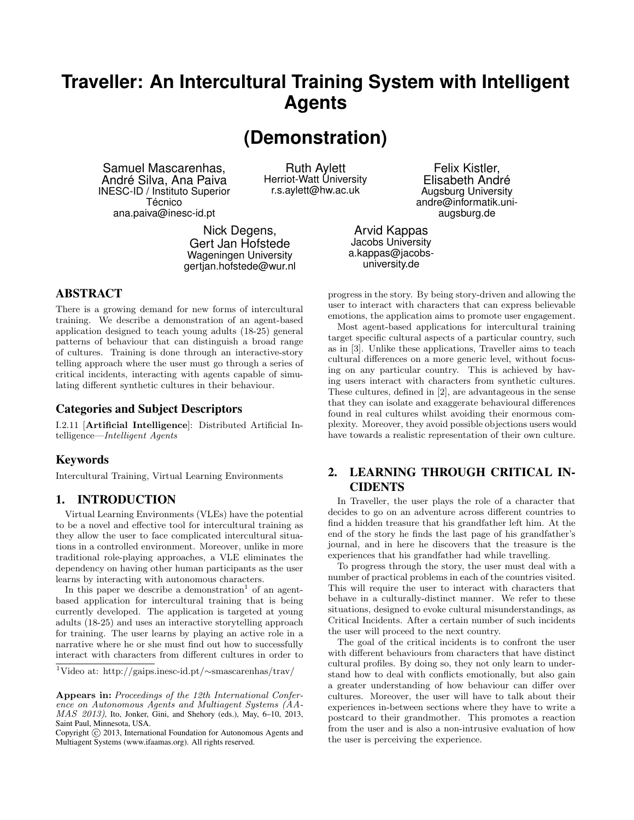# **Traveller: An Intercultural Training System with Intelligent Agents**

**(Demonstration)**

Samuel Mascarenhas, André Silva, Ana Paiva INESC-ID / Instituto Superior Técnico ana.paiva@inesc-id.pt

Ruth Aylett Herriot-Watt University r.s.aylett@hw.ac.uk

Nick Degens, Gert Jan Hofstede Wageningen University gertjan.hofstede@wur.nl

# ABSTRACT

There is a growing demand for new forms of intercultural training. We describe a demonstration of an agent-based application designed to teach young adults (18-25) general patterns of behaviour that can distinguish a broad range of cultures. Training is done through an interactive-story telling approach where the user must go through a series of critical incidents, interacting with agents capable of simulating different synthetic cultures in their behaviour.

# Categories and Subject Descriptors

I.2.11 [Artificial Intelligence]: Distributed Artificial Intelligence—Intelligent Agents

# Keywords

Intercultural Training, Virtual Learning Environments

## 1. INTRODUCTION

Virtual Learning Environments (VLEs) have the potential to be a novel and effective tool for intercultural training as they allow the user to face complicated intercultural situations in a controlled environment. Moreover, unlike in more traditional role-playing approaches, a VLE eliminates the dependency on having other human participants as the user learns by interacting with autonomous characters.

In this paper we describe a demonstration<sup>1</sup> of an agentbased application for intercultural training that is being currently developed. The application is targeted at young adults (18-25) and uses an interactive storytelling approach for training. The user learns by playing an active role in a narrative where he or she must find out how to successfully interact with characters from different cultures in order to

Felix Kistler, Elisabeth André Augsburg University andre@informatik.uniaugsburg.de

Arvid Kappas Jacobs University a.kappas@jacobsuniversity.de

progress in the story. By being story-driven and allowing the user to interact with characters that can express believable emotions, the application aims to promote user engagement.

Most agent-based applications for intercultural training target specific cultural aspects of a particular country, such as in [3]. Unlike these applications, Traveller aims to teach cultural differences on a more generic level, without focusing on any particular country. This is achieved by having users interact with characters from synthetic cultures. These cultures, defined in [2], are advantageous in the sense that they can isolate and exaggerate behavioural differences found in real cultures whilst avoiding their enormous complexity. Moreover, they avoid possible objections users would have towards a realistic representation of their own culture.

# 2. LEARNING THROUGH CRITICAL IN-**CIDENTS**

In Traveller, the user plays the role of a character that decides to go on an adventure across different countries to find a hidden treasure that his grandfather left him. At the end of the story he finds the last page of his grandfather's journal, and in here he discovers that the treasure is the experiences that his grandfather had while travelling.

To progress through the story, the user must deal with a number of practical problems in each of the countries visited. This will require the user to interact with characters that behave in a culturally-distinct manner. We refer to these situations, designed to evoke cultural misunderstandings, as Critical Incidents. After a certain number of such incidents the user will proceed to the next country.

The goal of the critical incidents is to confront the user with different behaviours from characters that have distinct cultural profiles. By doing so, they not only learn to understand how to deal with conflicts emotionally, but also gain a greater understanding of how behaviour can differ over cultures. Moreover, the user will have to talk about their experiences in-between sections where they have to write a postcard to their grandmother. This promotes a reaction from the user and is also a non-intrusive evaluation of how the user is perceiving the experience.

<sup>1</sup>Video at: http://gaips.inesc-id.pt/∼smascarenhas/trav/

Appears in: Proceedings of the 12th International Conference on Autonomous Agents and Multiagent Systems (AA-MAS 2013), Ito, Jonker, Gini, and Shehory (eds.), May, 6-10, 2013, Saint Paul, Minnesota, USA.

Copyright (C) 2013, International Foundation for Autonomous Agents and Multiagent Systems (www.ifaamas.org). All rights reserved.